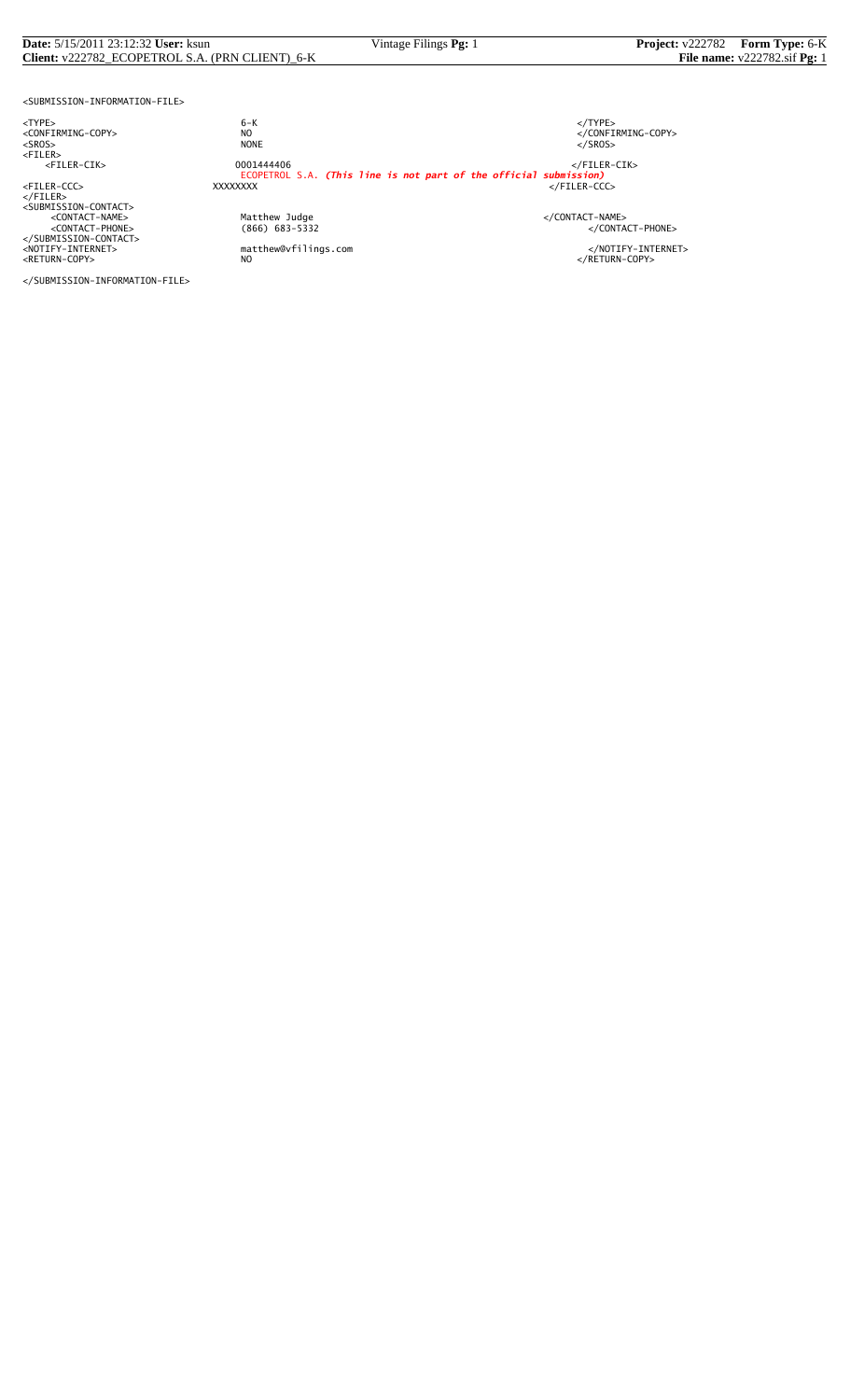#### **Date:** 5/15/2011 23:12:32 **User:** ksun Vintage Filings **Pg:** 1 **Project:** v222782 **Form Type:** 6-K **Client:** v222782\_ECOPETROL S.A. (PRN CLIENT)\_6-K **File name:** v222782.sif **Pg:** 1

<SUBMISSION-INFORMATION-FILE>

<TYPE> 6-K </TYPE>

</FILER><br><SUBMISSION-CONTACT><br><CONTACT-NAME> </CONTACT-NAME></CONTACT-NAME> </SUBMISSION-CONTACT>

<CONFIRMING-COPY> NO </CONFIRMING-COPY> <SROS> NONE </SROS> <FILER> <FILER-CIK> 0001444406 </FILER-CIK> ECOPETROL S.A. *(This line is not part of the official submission)* <FILER-CCC> XXXXXXXX </FILER-CCC>

%Matthew Judge<br>
(866) 683-5332 </CONTACT-PHONE><br>
</CONTACT-PHONE>

<NOTIFY-INTERNET> matthew@vfilings.com </NOTIFY-INTERNET><br><RETURN-COPY> NO

</SUBMISSION-INFORMATION-FILE>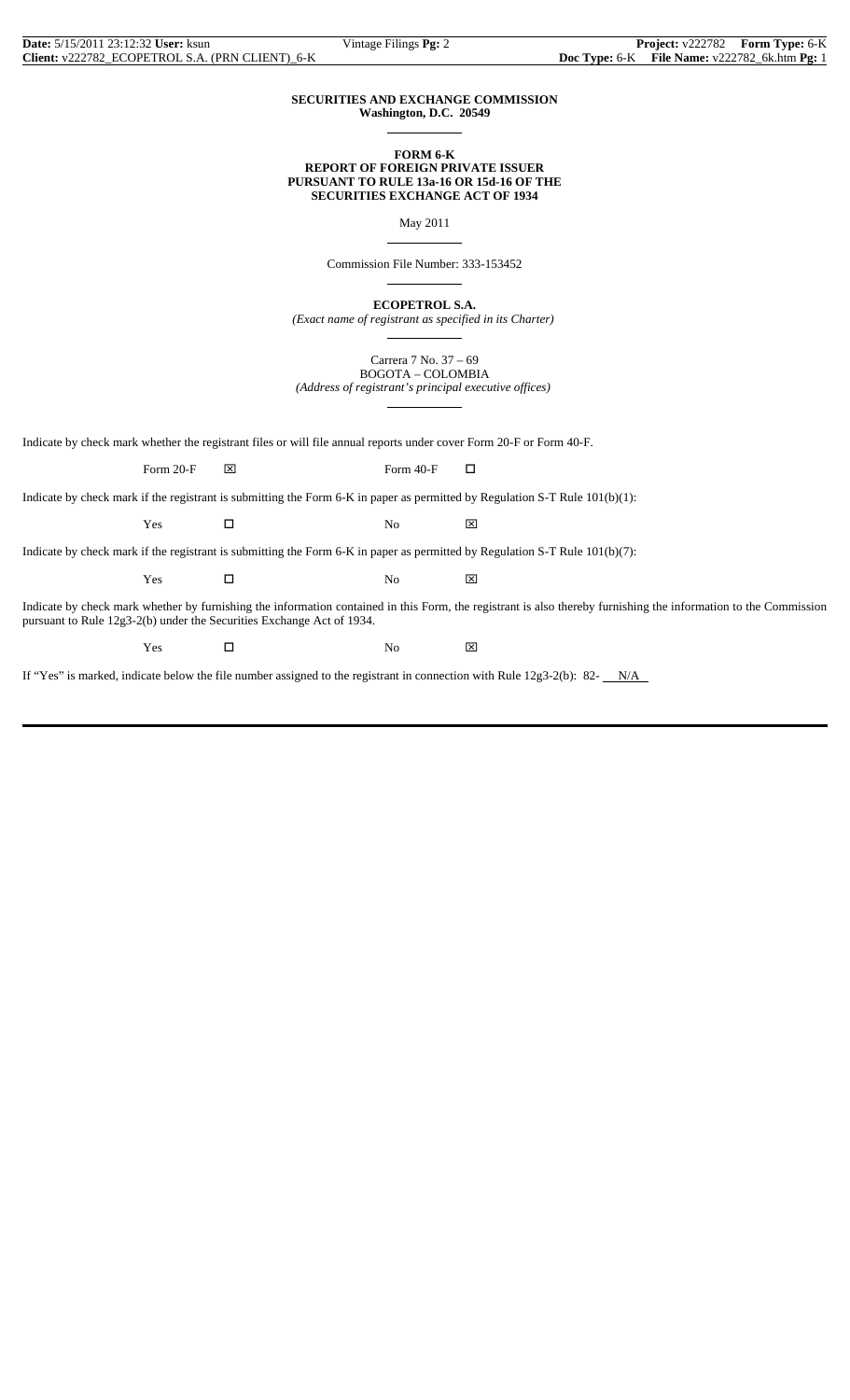$\overline{a}$ 

 $\overline{a}$ 

 $\overline{a}$ 

 $\overline{a}$ 

 $\overline{a}$ 

## **SECURITIES AND EXCHANGE COMMISSION Washington, D.C. 20549**

### **FORM 6-K REPORT OF FOREIGN PRIVATE ISSUER PURSUANT TO RULE 13a-16 OR 15d-16 OF THE SECURITIES EXCHANGE ACT OF 1934**

May 2011

Commission File Number: 333-153452

**ECOPETROL S.A.**

*(Exact name of registrant as specified in its Charter)*

Carrera 7 No. 37 – 69 BOGOTA – COLOMBIA *(Address of registrant's principal executive offices)*

Indicate by check mark whether the registrant files or will file annual reports under cover Form 20-F or Form 40-F.

Form 20-F  $\boxtimes$  Form 40-F  $\Box$ 

Indicate by check mark if the registrant is submitting the Form 6-K in paper as permitted by Regulation S-T Rule 101(b)(1):

Yes □ No ⊠

Indicate by check mark if the registrant is submitting the Form 6-K in paper as permitted by Regulation S-T Rule 101(b)(7):

 $Yes$   $\Box$  No  $\boxtimes$ 

Indicate by check mark whether by furnishing the information contained in this Form, the registrant is also thereby furnishing the information to the Commission pursuant to Rule 12g3-2(b) under the Securities Exchange Act of 1934.

 $Yes$   $\square$  No  $\boxtimes$ 

If "Yes" is marked, indicate below the file number assigned to the registrant in connection with Rule  $12g3-2(b)$ : 82- $N/A$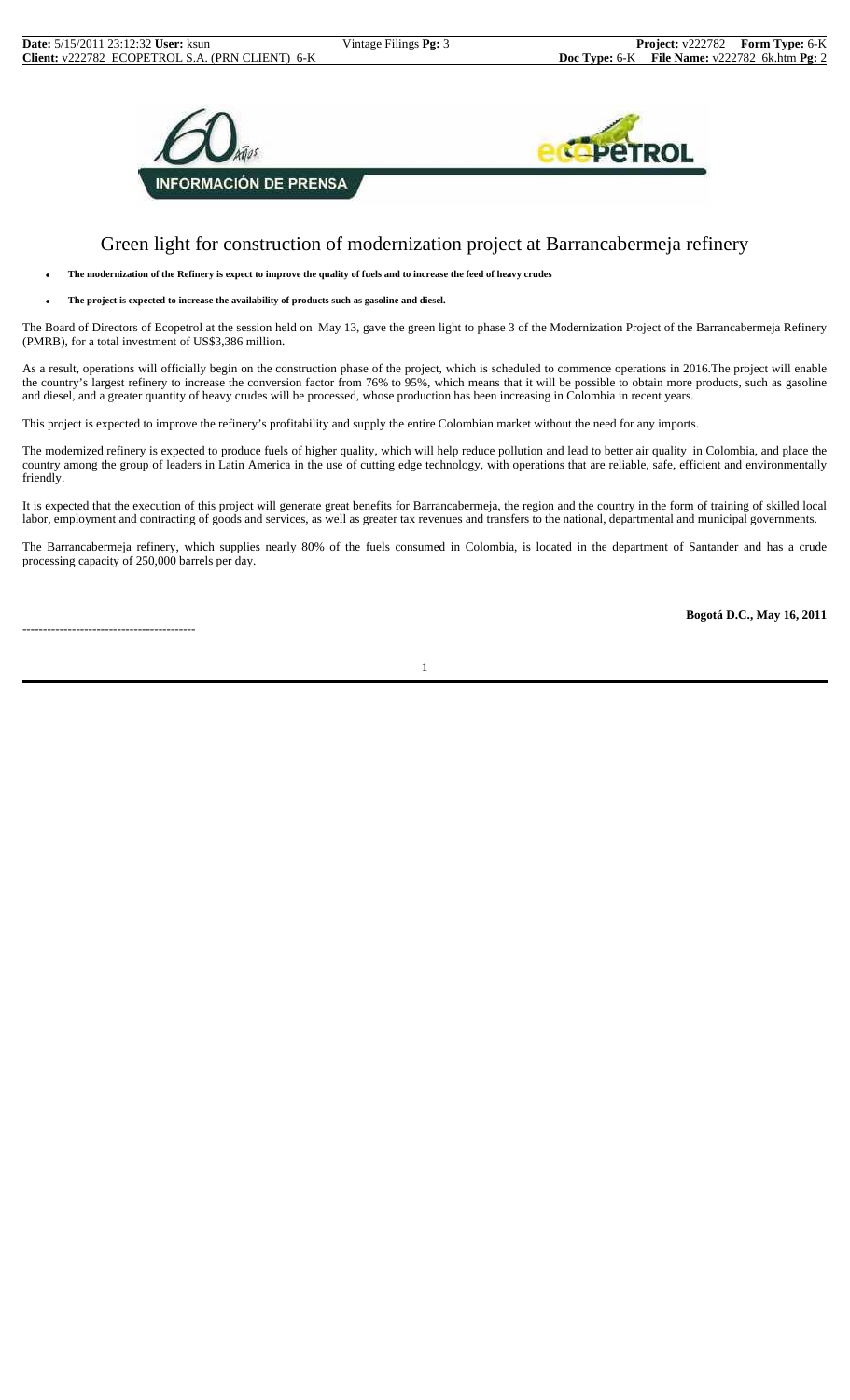

# Green light for construction of modernization project at Barrancabermeja refinery

• **The modernization of the Refinery is expect to improve the quality of fuels and to increase the feed of heavy crudes**

• **The project is expected to increase the availability of products such as gasoline and diesel.**

The Board of Directors of Ecopetrol at the session held on May 13, gave the green light to phase 3 of the Modernization Project of the Barrancabermeja Refinery (PMRB), for a total investment of US\$3,386 million.

As a result, operations will officially begin on the construction phase of the project, which is scheduled to commence operations in 2016.The project will enable the country's largest refinery to increase the conversion factor from 76% to 95%, which means that it will be possible to obtain more products, such as gasoline and diesel, and a greater quantity of heavy crudes will be processed, whose production has been increasing in Colombia in recent years.

This project is expected to improve the refinery's profitability and supply the entire Colombian market without the need for any imports.

The modernized refinery is expected to produce fuels of higher quality, which will help reduce pollution and lead to better air quality in Colombia, and place the country among the group of leaders in Latin America in the use of cutting edge technology, with operations that are reliable, safe, efficient and environmentally friendly.

It is expected that the execution of this project will generate great benefits for Barrancabermeja, the region and the country in the form of training of skilled local labor, employment and contracting of goods and services, as well as greater tax revenues and transfers to the national, departmental and municipal governments.

The Barrancabermeja refinery, which supplies nearly 80% of the fuels consumed in Colombia, is located in the department of Santander and has a crude processing capacity of 250,000 barrels per day.

------------------------------------------

**Bogotá D.C., May 16, 2011**

1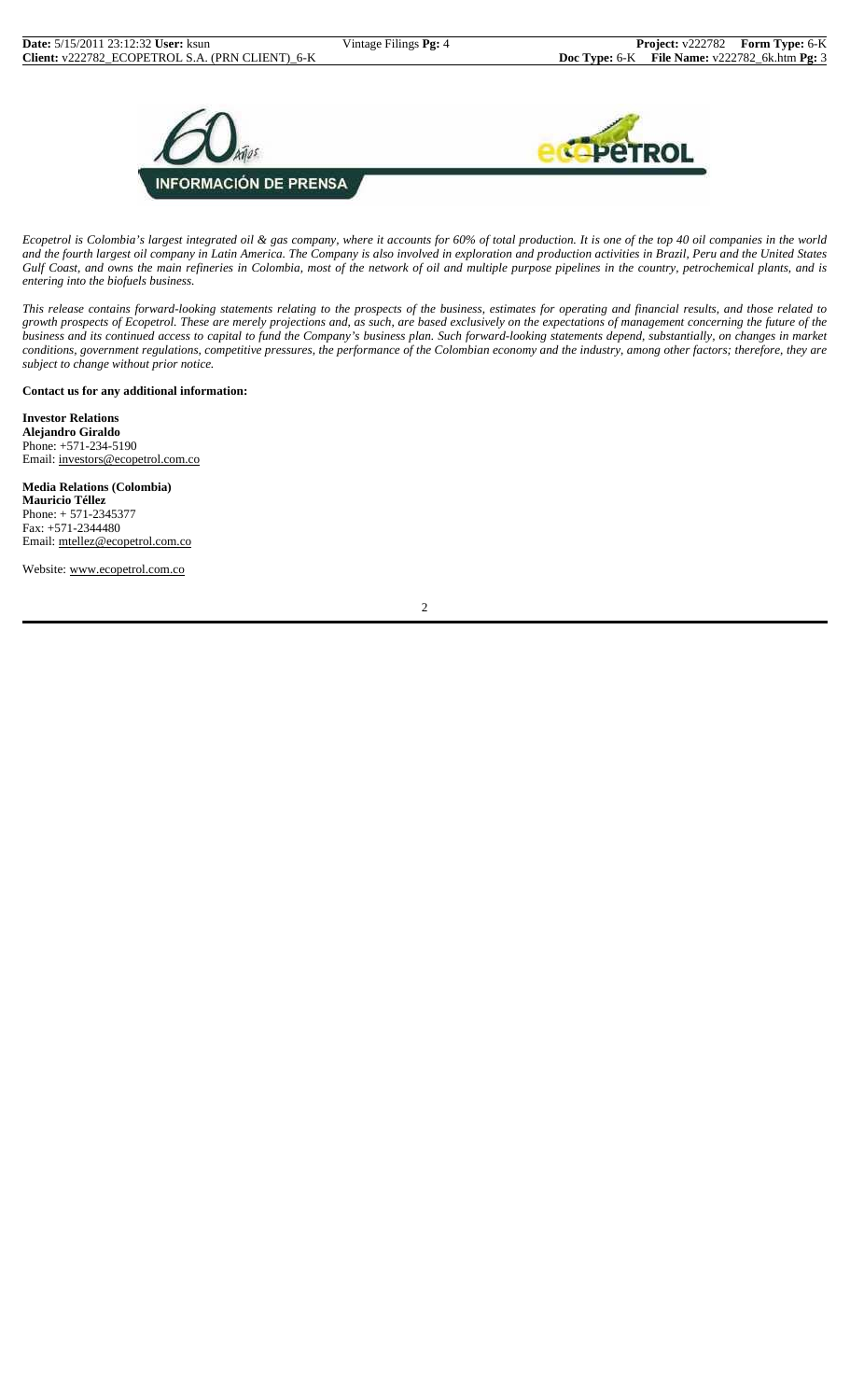

*Ecopetrol is Colombia's largest integrated oil & gas company, where it accounts for 60% of total production. It is one of the top 40 oil companies in the world and the fourth largest oil company in Latin America. The Company is also involved in exploration and production activities in Brazil, Peru and the United States Gulf Coast, and owns the main refineries in Colombia, most of the network of oil and multiple purpose pipelines in the country, petrochemical plants, and is entering into the biofuels business.*

*This release contains forward-looking statements relating to the prospects of the business, estimates for operating and financial results, and those related to growth prospects of Ecopetrol. These are merely projections and, as such, are based exclusively on the expectations of management concerning the future of the business and its continued access to capital to fund the Company's business plan. Such forward-looking statements depend, substantially, on changes in market conditions, government regulations, competitive pressures, the performance of the Colombian economy and the industry, among other factors; therefore, they are subject to change without prior notice.*

## **Contact us for any additional information:**

**Investor Relations Alejandro Giraldo** Phone: +571-234-5190 Email: investors@ecopetrol.com.co

**Media Relations (Colombia) Mauricio Téllez** Phone: + 571-2345377 Fax: +571-2344480

Email: mtellez@ecopetrol.com.co Website: www.ecopetrol.com.co

2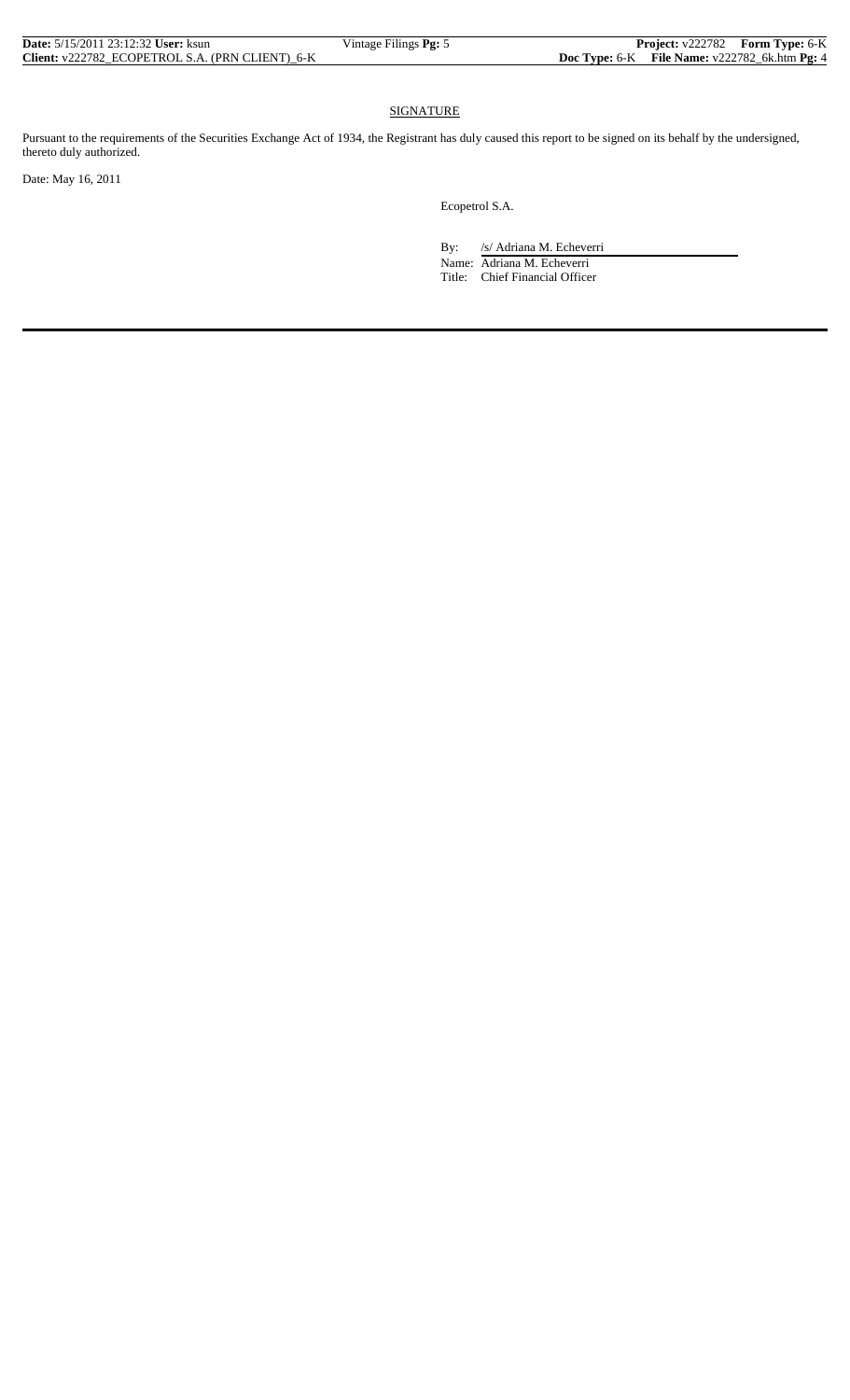| <b>Date:</b> 5/15/2011 23:12:32 User: ksun      | Vintage Filings <b>Pg:</b> 5 |                                               | <b>Project:</b> v222782 Form Type: 6-K |
|-------------------------------------------------|------------------------------|-----------------------------------------------|----------------------------------------|
| Client: v222782 ECOPETROL S.A. (PRN CLIENT) 6-K |                              | Doc Type: 6-K File Name: v222782_6k.htm Pg: 4 |                                        |

## SIGNATURE

Pursuant to the requirements of the Securities Exchange Act of 1934, the Registrant has duly caused this report to be signed on its behalf by the undersigned, thereto duly authorized.

Date: May 16, 2011

Ecopetrol S.A.

By: /s/ Adriana M. Echeverri

 Name: Adriana M. Echeverri Title: Chief Financial Officer